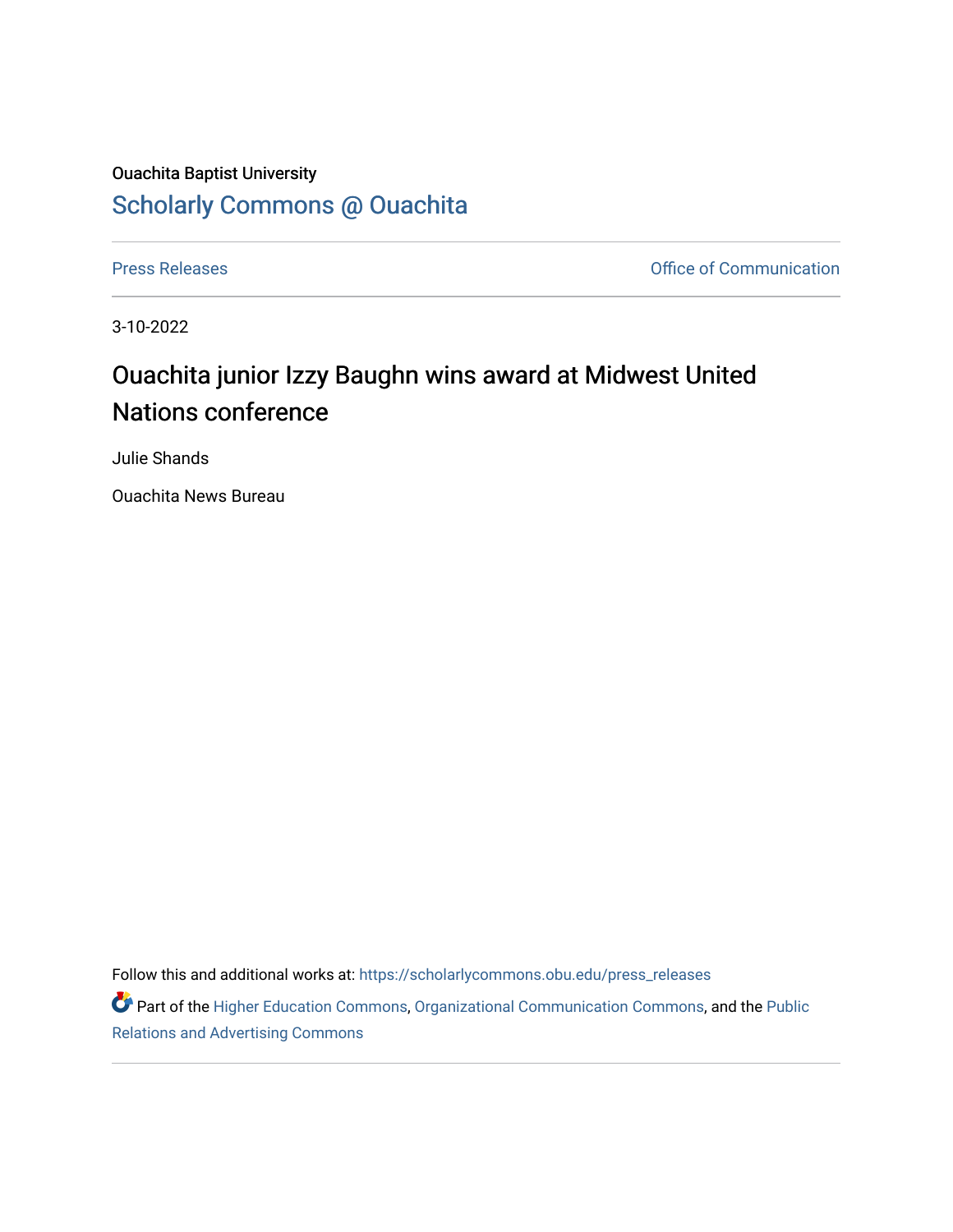## Ouachita Baptist University [Scholarly Commons @ Ouachita](https://scholarlycommons.obu.edu/)

[Press Releases](https://scholarlycommons.obu.edu/press_releases) **Press Releases Communication** 

3-10-2022

## Ouachita junior Izzy Baughn wins award at Midwest United Nations conference

Julie Shands

Ouachita News Bureau

Follow this and additional works at: [https://scholarlycommons.obu.edu/press\\_releases](https://scholarlycommons.obu.edu/press_releases?utm_source=scholarlycommons.obu.edu%2Fpress_releases%2F1070&utm_medium=PDF&utm_campaign=PDFCoverPages)

Part of the [Higher Education Commons,](http://network.bepress.com/hgg/discipline/1245?utm_source=scholarlycommons.obu.edu%2Fpress_releases%2F1070&utm_medium=PDF&utm_campaign=PDFCoverPages) [Organizational Communication Commons,](http://network.bepress.com/hgg/discipline/335?utm_source=scholarlycommons.obu.edu%2Fpress_releases%2F1070&utm_medium=PDF&utm_campaign=PDFCoverPages) and the [Public](http://network.bepress.com/hgg/discipline/336?utm_source=scholarlycommons.obu.edu%2Fpress_releases%2F1070&utm_medium=PDF&utm_campaign=PDFCoverPages) [Relations and Advertising Commons](http://network.bepress.com/hgg/discipline/336?utm_source=scholarlycommons.obu.edu%2Fpress_releases%2F1070&utm_medium=PDF&utm_campaign=PDFCoverPages)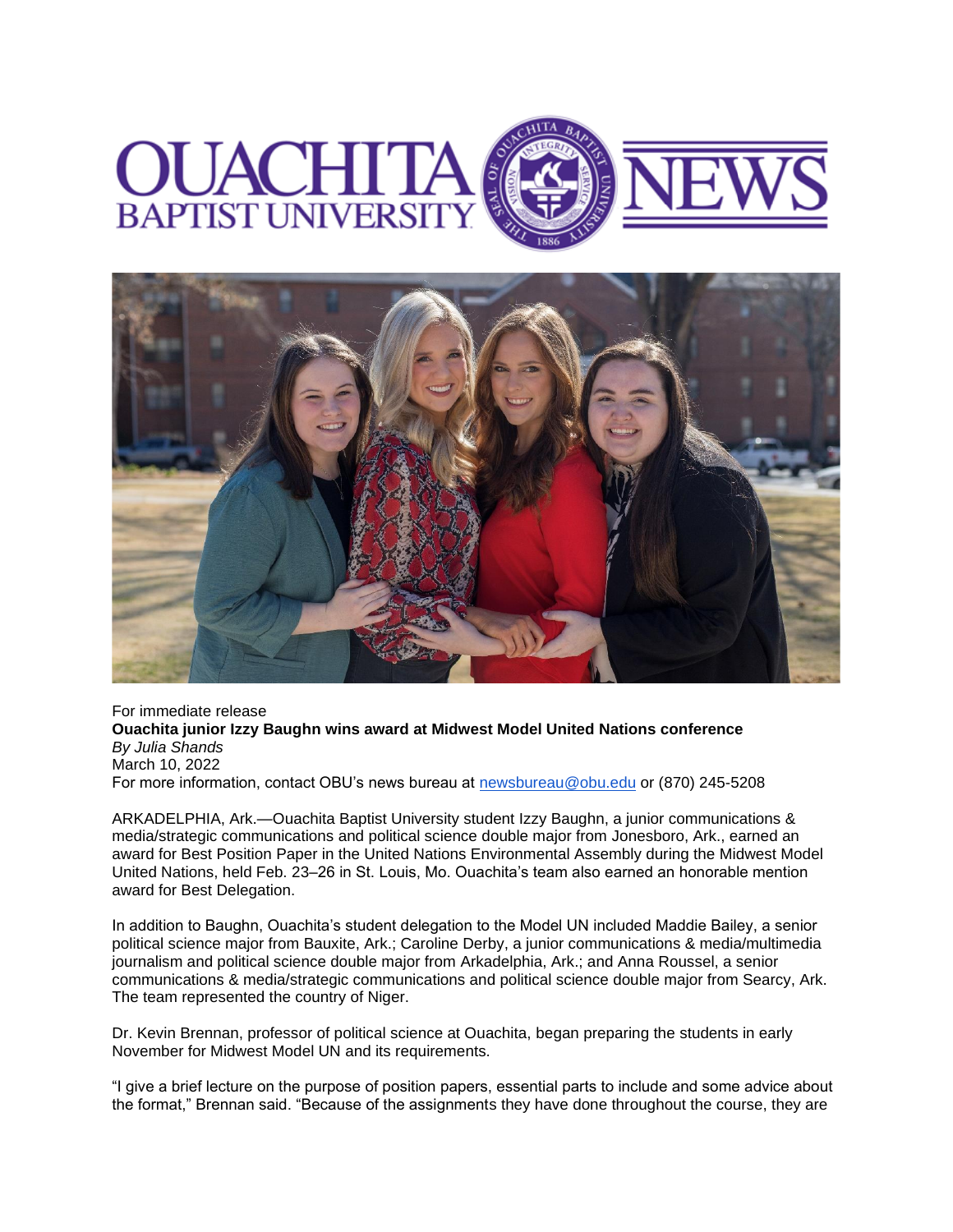



For immediate release **Ouachita junior Izzy Baughn wins award at Midwest Model United Nations conference** *By Julia Shands* March 10, 2022 For more information, contact OBU's news bureau at [newsbureau@obu.edu](mailto:newsbureau@obu.edu) or (870) 245-5208

ARKADELPHIA, Ark.—Ouachita Baptist University student Izzy Baughn, a junior communications & media/strategic communications and political science double major from Jonesboro, Ark., earned an award for Best Position Paper in the United Nations Environmental Assembly during the Midwest Model United Nations, held Feb. 23–26 in St. Louis, Mo. Ouachita's team also earned an honorable mention award for Best Delegation.

In addition to Baughn, Ouachita's student delegation to the Model UN included Maddie Bailey, a senior political science major from Bauxite, Ark.; Caroline Derby, a junior communications & media/multimedia journalism and political science double major from Arkadelphia, Ark.; and Anna Roussel, a senior communications & media/strategic communications and political science double major from Searcy, Ark. The team represented the country of Niger.

Dr. Kevin Brennan, professor of political science at Ouachita, began preparing the students in early November for Midwest Model UN and its requirements.

"I give a brief lecture on the purpose of position papers, essential parts to include and some advice about the format," Brennan said. "Because of the assignments they have done throughout the course, they are